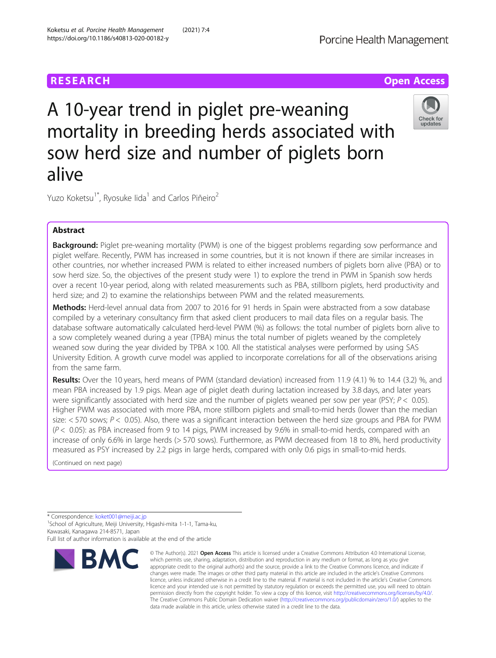# **RESEARCH CHE Open Access**

# A 10-year trend in piglet pre-weaning mortality in breeding herds associated with sow herd size and number of piglets born alive



Yuzo Koketsu<sup>1\*</sup>, Ryosuke Iida<sup>1</sup> and Carlos Piñeiro<sup>2</sup>

# Abstract

**Background:** Piglet pre-weaning mortality (PWM) is one of the biggest problems regarding sow performance and piglet welfare. Recently, PWM has increased in some countries, but it is not known if there are similar increases in other countries, nor whether increased PWM is related to either increased numbers of piglets born alive (PBA) or to sow herd size. So, the objectives of the present study were 1) to explore the trend in PWM in Spanish sow herds over a recent 10-year period, along with related measurements such as PBA, stillborn piglets, herd productivity and herd size; and 2) to examine the relationships between PWM and the related measurements.

Methods: Herd-level annual data from 2007 to 2016 for 91 herds in Spain were abstracted from a sow database compiled by a veterinary consultancy firm that asked client producers to mail data files on a regular basis. The database software automatically calculated herd-level PWM (%) as follows: the total number of piglets born alive to a sow completely weaned during a year (TPBA) minus the total number of piglets weaned by the completely weaned sow during the year divided by TPBA  $\times$  100. All the statistical analyses were performed by using SAS University Edition. A growth curve model was applied to incorporate correlations for all of the observations arising from the same farm.

Results: Over the 10 years, herd means of PWM (standard deviation) increased from 11.9 (4.1) % to 14.4 (3.2) %, and mean PBA increased by 1.9 pigs. Mean age of piglet death during lactation increased by 3.8 days, and later years were significantly associated with herd size and the number of piglets weaned per sow per year (PSY;  $P < 0.05$ ). Higher PWM was associated with more PBA, more stillborn piglets and small-to-mid herds (lower than the median size:  $<$  570 sows;  $P$  < 0.05). Also, there was a significant interaction between the herd size groups and PBA for PWM  $(P < 0.05)$ : as PBA increased from 9 to 14 pigs, PWM increased by 9.6% in small-to-mid herds, compared with an increase of only 6.6% in large herds (> 570 sows). Furthermore, as PWM decreased from 18 to 8%, herd productivity measured as PSY increased by 2.2 pigs in large herds, compared with only 0.6 pigs in small-to-mid herds.

(Continued on next page)

\* Correspondence: [koket001@meiji.ac.jp](mailto:koket001@meiji.ac.jp) <sup>1</sup>

<sup>1</sup>School of Agriculture, Meiji University, Higashi-mita 1-1-1, Tama-ku, Kawasaki, Kanagawa 214-8571, Japan Full list of author information is available at the end of the article



<sup>©</sup> The Author(s), 2021 **Open Access** This article is licensed under a Creative Commons Attribution 4.0 International License, which permits use, sharing, adaptation, distribution and reproduction in any medium or format, as long as you give appropriate credit to the original author(s) and the source, provide a link to the Creative Commons licence, and indicate if changes were made. The images or other third party material in this article are included in the article's Creative Commons licence, unless indicated otherwise in a credit line to the material. If material is not included in the article's Creative Commons licence and your intended use is not permitted by statutory regulation or exceeds the permitted use, you will need to obtain permission directly from the copyright holder. To view a copy of this licence, visit [http://creativecommons.org/licenses/by/4.0/.](http://creativecommons.org/licenses/by/4.0/) The Creative Commons Public Domain Dedication waiver [\(http://creativecommons.org/publicdomain/zero/1.0/](http://creativecommons.org/publicdomain/zero/1.0/)) applies to the data made available in this article, unless otherwise stated in a credit line to the data.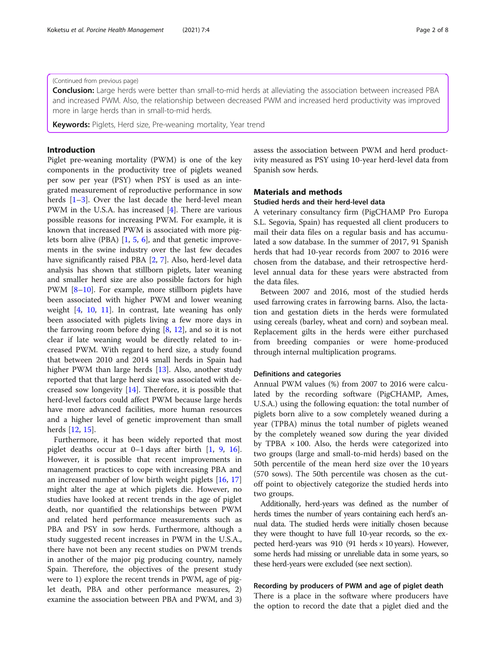#### (Continued from previous page)

Conclusion: Large herds were better than small-to-mid herds at alleviating the association between increased PBA and increased PWM. Also, the relationship between decreased PWM and increased herd productivity was improved more in large herds than in small-to-mid herds.

Keywords: Piglets, Herd size, Pre-weaning mortality, Year trend

## Introduction

Piglet pre-weaning mortality (PWM) is one of the key components in the productivity tree of piglets weaned per sow per year (PSY) when PSY is used as an integrated measurement of reproductive performance in sow herds  $[1-3]$  $[1-3]$  $[1-3]$  $[1-3]$ . Over the last decade the herd-level mean PWM in the U.S.A. has increased [[4\]](#page-7-0). There are various possible reasons for increasing PWM. For example, it is known that increased PWM is associated with more piglets born alive (PBA) [\[1](#page-7-0), [5](#page-7-0), [6\]](#page-7-0), and that genetic improvements in the swine industry over the last few decades have significantly raised PBA [\[2](#page-7-0), [7](#page-7-0)]. Also, herd-level data analysis has shown that stillborn piglets, later weaning and smaller herd size are also possible factors for high PWM [[8](#page-7-0)-[10](#page-7-0)]. For example, more stillborn piglets have been associated with higher PWM and lower weaning weight [[4,](#page-7-0) [10](#page-7-0), [11](#page-7-0)]. In contrast, late weaning has only been associated with piglets living a few more days in the farrowing room before dying [[8,](#page-7-0) [12\]](#page-7-0), and so it is not clear if late weaning would be directly related to increased PWM. With regard to herd size, a study found that between 2010 and 2014 small herds in Spain had higher PWM than large herds [[13\]](#page-7-0). Also, another study reported that that large herd size was associated with decreased sow longevity [[14\]](#page-7-0). Therefore, it is possible that herd-level factors could affect PWM because large herds have more advanced facilities, more human resources and a higher level of genetic improvement than small herds [\[12](#page-7-0), [15\]](#page-7-0).

Furthermore, it has been widely reported that most piglet deaths occur at 0–1 days after birth [[1](#page-7-0), [9,](#page-7-0) [16](#page-7-0)]. However, it is possible that recent improvements in management practices to cope with increasing PBA and an increased number of low birth weight piglets [\[16](#page-7-0), [17](#page-7-0)] might alter the age at which piglets die. However, no studies have looked at recent trends in the age of piglet death, nor quantified the relationships between PWM and related herd performance measurements such as PBA and PSY in sow herds. Furthermore, although a study suggested recent increases in PWM in the U.S.A., there have not been any recent studies on PWM trends in another of the major pig producing country, namely Spain. Therefore, the objectives of the present study were to 1) explore the recent trends in PWM, age of piglet death, PBA and other performance measures, 2) examine the association between PBA and PWM, and 3) assess the association between PWM and herd productivity measured as PSY using 10-year herd-level data from Spanish sow herds.

## Materials and methods

## Studied herds and their herd-level data

A veterinary consultancy firm (PigCHAMP Pro Europa S.L. Segovia, Spain) has requested all client producers to mail their data files on a regular basis and has accumulated a sow database. In the summer of 2017, 91 Spanish herds that had 10-year records from 2007 to 2016 were chosen from the database, and their retrospective herdlevel annual data for these years were abstracted from the data files.

Between 2007 and 2016, most of the studied herds used farrowing crates in farrowing barns. Also, the lactation and gestation diets in the herds were formulated using cereals (barley, wheat and corn) and soybean meal. Replacement gilts in the herds were either purchased from breeding companies or were home-produced through internal multiplication programs.

#### Definitions and categories

Annual PWM values (%) from 2007 to 2016 were calculated by the recording software (PigCHAMP, Ames, U.S.A.) using the following equation: the total number of piglets born alive to a sow completely weaned during a year (TPBA) minus the total number of piglets weaned by the completely weaned sow during the year divided by TPBA  $\times$  100. Also, the herds were categorized into two groups (large and small-to-mid herds) based on the 50th percentile of the mean herd size over the 10 years (570 sows). The 50th percentile was chosen as the cutoff point to objectively categorize the studied herds into two groups.

Additionally, herd-years was defined as the number of herds times the number of years containing each herd's annual data. The studied herds were initially chosen because they were thought to have full 10-year records, so the expected herd-years was  $910$  (91 herds  $\times$  10 years). However, some herds had missing or unreliable data in some years, so these herd-years were excluded (see next section).

#### Recording by producers of PWM and age of piglet death

There is a place in the software where producers have the option to record the date that a piglet died and the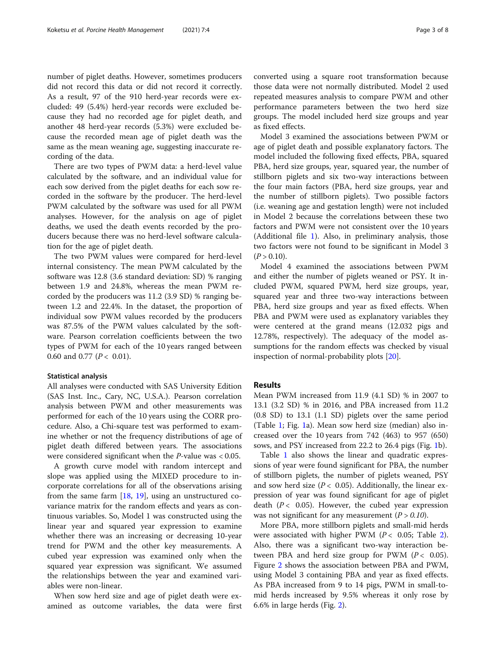number of piglet deaths. However, sometimes producers did not record this data or did not record it correctly. As a result, 97 of the 910 herd-year records were excluded: 49 (5.4%) herd-year records were excluded because they had no recorded age for piglet death, and another 48 herd-year records (5.3%) were excluded because the recorded mean age of piglet death was the same as the mean weaning age, suggesting inaccurate recording of the data.

There are two types of PWM data: a herd-level value calculated by the software, and an individual value for each sow derived from the piglet deaths for each sow recorded in the software by the producer. The herd-level PWM calculated by the software was used for all PWM analyses. However, for the analysis on age of piglet deaths, we used the death events recorded by the producers because there was no herd-level software calculation for the age of piglet death.

The two PWM values were compared for herd-level internal consistency. The mean PWM calculated by the software was 12.8 (3.6 standard deviation: SD) % ranging between 1.9 and 24.8%, whereas the mean PWM recorded by the producers was 11.2 (3.9 SD) % ranging between 1.2 and 22.4%. In the dataset, the proportion of individual sow PWM values recorded by the producers was 87.5% of the PWM values calculated by the software. Pearson correlation coefficients between the two types of PWM for each of the 10 years ranged between 0.60 and 0.77 ( $P < 0.01$ ).

#### Statistical analysis

All analyses were conducted with SAS University Edition (SAS Inst. Inc., Cary, NC, U.S.A.). Pearson correlation analysis between PWM and other measurements was performed for each of the 10 years using the CORR procedure. Also, a Chi-square test was performed to examine whether or not the frequency distributions of age of piglet death differed between years. The associations were considered significant when the P-value was < 0.05.

A growth curve model with random intercept and slope was applied using the MIXED procedure to incorporate correlations for all of the observations arising from the same farm [\[18](#page-7-0), [19\]](#page-7-0), using an unstructured covariance matrix for the random effects and years as continuous variables. So, Model 1 was constructed using the linear year and squared year expression to examine whether there was an increasing or decreasing 10-year trend for PWM and the other key measurements. A cubed year expression was examined only when the squared year expression was significant. We assumed the relationships between the year and examined variables were non-linear.

When sow herd size and age of piglet death were examined as outcome variables, the data were first converted using a square root transformation because those data were not normally distributed. Model 2 used repeated measures analysis to compare PWM and other performance parameters between the two herd size groups. The model included herd size groups and year as fixed effects.

Model 3 examined the associations between PWM or age of piglet death and possible explanatory factors. The model included the following fixed effects, PBA, squared PBA, herd size groups, year, squared year, the number of stillborn piglets and six two-way interactions between the four main factors (PBA, herd size groups, year and the number of stillborn piglets). Two possible factors (i.e. weaning age and gestation length) were not included in Model 2 because the correlations between these two factors and PWM were not consistent over the 10 years (Additional file [1](#page-7-0)). Also, in preliminary analysis, those two factors were not found to be significant in Model 3  $(P > 0.10)$ .

Model 4 examined the associations between PWM and either the number of piglets weaned or PSY. It included PWM, squared PWM, herd size groups, year, squared year and three two-way interactions between PBA, herd size groups and year as fixed effects. When PBA and PWM were used as explanatory variables they were centered at the grand means (12.032 pigs and 12.78%, respectively). The adequacy of the model assumptions for the random effects was checked by visual inspection of normal-probability plots [\[20](#page-7-0)].

#### Results

Mean PWM increased from 11.9 (4.1 SD) % in 2007 to 13.1 (3.2 SD) % in 2016, and PBA increased from 11.2 (0.8 SD) to 13.1 (1.1 SD) piglets over the same period (Table [1](#page-3-0); Fig. [1a](#page-3-0)). Mean sow herd size (median) also increased over the 10 years from 742 (463) to 957 (650) sows, and PSY increased from 22.2 to 26.4 pigs (Fig. [1](#page-3-0)b).

Table [1](#page-3-0) also shows the linear and quadratic expressions of year were found significant for PBA, the number of stillborn piglets, the number of piglets weaned, PSY and sow herd size ( $P < 0.05$ ). Additionally, the linear expression of year was found significant for age of piglet death ( $P < 0.05$ ). However, the cubed year expression was not significant for any measurement  $(P > 0.10)$ .

More PBA, more stillborn piglets and small-mid herds were associated with higher PWM ( $P < 0.05$ ; Table [2](#page-4-0)). Also, there was a significant two-way interaction between PBA and herd size group for PWM  $(P < 0.05)$ . Figure [2](#page-4-0) shows the association between PBA and PWM, using Model 3 containing PBA and year as fixed effects. As PBA increased from 9 to 14 pigs, PWM in small-tomid herds increased by 9.5% whereas it only rose by 6.6% in large herds (Fig. [2\)](#page-4-0).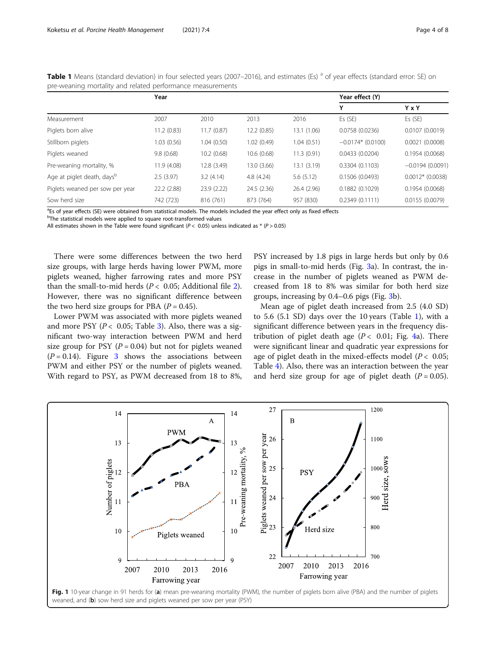<span id="page-3-0"></span>Table 1 Means (standard deviation) in four selected years (2007–2016), and estimates (Es) <sup>a</sup> of year effects (standard error: SE) on pre-weaning mortality and related performance measurements

|                                        | Year        |             |             | Year effect (Y) |                     |                    |
|----------------------------------------|-------------|-------------|-------------|-----------------|---------------------|--------------------|
|                                        |             |             |             |                 | Υ                   | Y x Y              |
| Measurement                            | 2007        | 2010        | 2013        | 2016            | Es (SE)             | Es(SE)             |
| Piglets born alive                     | 11.2 (0.83) | 11.7(0.87)  | 12.2 (0.85) | 13.1 (1.06)     | 0.0758(0.0236)      | 0.0107(0.0019)     |
| Stillborn piglets                      | 1.03(0.56)  | 1.04(0.50)  | 1.02(0.49)  | 1.04(0.51)      | $-0.0174*$ (0.0100) | 0.0021(0.0008)     |
| Piglets weaned                         | 9.8(0.68)   | 10.2(0.68)  | 10.6(0.68)  | 11.3(0.91)      | 0.0433(0.0204)      | 0.1954(0.0068)     |
| Pre-weaning mortality, %               | 11.9 (4.08) | 12.8 (3.49) | 13.0 (3.66) | 13.1 (3.19)     | 0.3304(0.1103)      | $-0.0194(0.0091)$  |
| Age at piglet death, days <sup>b</sup> | 2.5(3.97)   | 3.2(4.14)   | 4.8(4.24)   | 5.6(5.12)       | 0.1506 (0.0493)     | $0.0012*$ (0.0038) |
| Piglets weaned per sow per year        | 22.2(2.88)  | 23.9 (2.22) | 24.5 (2.36) | 26.4 (2.96)     | 0.1882(0.1029)      | 0.1954(0.0068)     |
| Sow herd size                          | 742 (723)   | 816 (761)   | 873 (764)   | 957 (830)       | 0.2349(0.1111)      | 0.0155(0.0079)     |

<sup>a</sup>Es of year effects (SE) were obtained from statistical models. The models included the year effect only as fixed effects

<sup>b</sup>The statistical models were applied to square root-transformed values

All estimates shown in the Table were found significant ( $P < 0.05$ ) unless indicated as \* ( $P > 0.05$ )

There were some differences between the two herd size groups, with large herds having lower PWM, more piglets weaned, higher farrowing rates and more PSY than the small-to-mid herds ( $P < 0.05$ ; Additional file [2](#page-7-0)). However, there was no significant difference between the two herd size groups for PBA  $(P = 0.45)$ .

Lower PWM was associated with more piglets weaned and more PSY ( $P < 0.05$ ; Table [3\)](#page-5-0). Also, there was a significant two-way interaction between PWM and herd size group for PSY ( $P = 0.04$ ) but not for piglets weaned  $(P = 0.14)$ . Figure [3](#page-5-0) shows the associations between PWM and either PSY or the number of piglets weaned. With regard to PSY, as PWM decreased from 18 to 8%,

PSY increased by 1.8 pigs in large herds but only by 0.6 pigs in small-to-mid herds (Fig. [3](#page-5-0)a). In contrast, the increase in the number of piglets weaned as PWM decreased from 18 to 8% was similar for both herd size groups, increasing by 0.4–0.6 pigs (Fig. [3b](#page-5-0)).

Mean age of piglet death increased from 2.5 (4.0 SD) to 5.6  $(5.1 S<sub>D</sub>)$  days over the 10 years (Table 1), with a significant difference between years in the frequency distribution of piglet death age  $(P < 0.01$ ; Fig. [4a](#page-6-0)). There were significant linear and quadratic year expressions for age of piglet death in the mixed-effects model ( $P < 0.05$ ; Table [4\)](#page-6-0). Also, there was an interaction between the year and herd size group for age of piglet death  $(P = 0.05)$ .

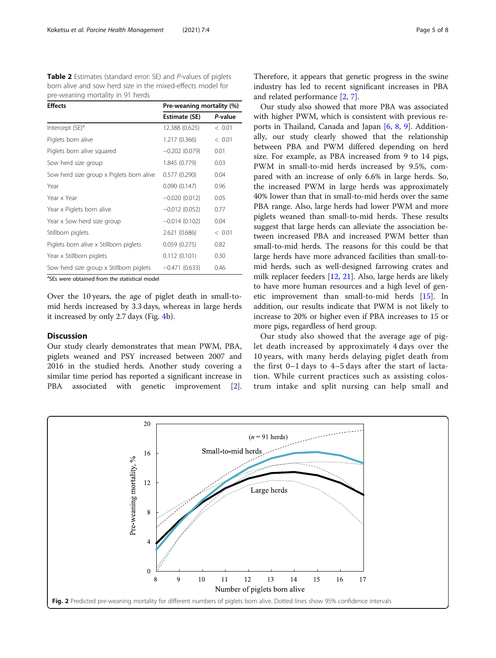<span id="page-4-0"></span>Table 2 Estimates (standard error: SE) and P-values of piglets born alive and sow herd size in the mixed-effects model for pre-weaning mortality in 91 herds

| <b>Effects</b>                           | Pre-weaning mortality (%) |         |  |
|------------------------------------------|---------------------------|---------|--|
|                                          | Estimate (SE)             | P-value |  |
| Intercept (SE) <sup>a</sup>              | 12.388 (0.625)            | < 0.01  |  |
| Piglets born alive                       | 1.217 (0.366)             | < 0.01  |  |
| Piglets born alive squared               | $-0.202(0.079)$           | 0.01    |  |
| Sow herd size group                      | 1.845 (0.779)             | 0.03    |  |
| Sow herd size group x Piglets born alive | 0.577(0.290)              | 0.04    |  |
| Year                                     | 0.090(0.147)              | 0.96    |  |
| Year x Year                              | $-0.020(0.012)$           | 0.05    |  |
| Year x Piglets born alive                | $-0.012(0.052)$           | 0.77    |  |
| Year x Sow herd size group               | $-0.014(0.102)$           | 0.04    |  |
| Stillborn piglets                        | 2.621 (0.686)             | < 0.01  |  |
| Piglets born alive x Stillborn piglets   | 0.059(0.275)              | 0.82    |  |
| Year x Stillborn piglets                 | 0.112(0.101)              | 0.30    |  |
| Sow herd size group x Stillborn piglets  | $-0.471(0.633)$           | 0.46    |  |

<sup>a</sup>SEs were obtained from the statistical model

Over the 10 years, the age of piglet death in small-tomid herds increased by 3.3 days, whereas in large herds it increased by only 2.7 days (Fig. [4b](#page-6-0)).

#### **Discussion**

Our study clearly demonstrates that mean PWM, PBA, piglets weaned and PSY increased between 2007 and 2016 in the studied herds. Another study covering a similar time period has reported a significant increase in PBA associated with genetic improvement [\[2](#page-7-0)].

Therefore, it appears that genetic progress in the swine industry has led to recent significant increases in PBA and related performance [\[2](#page-7-0), [7](#page-7-0)].

Our study also showed that more PBA was associated with higher PWM, which is consistent with previous reports in Thailand, Canada and Japan [\[6](#page-7-0), [8,](#page-7-0) [9](#page-7-0)]. Additionally, our study clearly showed that the relationship between PBA and PWM differed depending on herd size. For example, as PBA increased from 9 to 14 pigs, PWM in small-to-mid herds increased by 9.5%, compared with an increase of only 6.6% in large herds. So, the increased PWM in large herds was approximately 40% lower than that in small-to-mid herds over the same PBA range. Also, large herds had lower PWM and more piglets weaned than small-to-mid herds. These results suggest that large herds can alleviate the association between increased PBA and increased PWM better than small-to-mid herds. The reasons for this could be that large herds have more advanced facilities than small-tomid herds, such as well-designed farrowing crates and milk replacer feeders [[12](#page-7-0), [21\]](#page-7-0). Also, large herds are likely to have more human resources and a high level of genetic improvement than small-to-mid herds [\[15](#page-7-0)]. In addition, our results indicate that PWM is not likely to increase to 20% or higher even if PBA increases to 15 or more pigs, regardless of herd group.

Our study also showed that the average age of piglet death increased by approximately 4 days over the 10 years, with many herds delaying piglet death from the first 0–1 days to 4–5 days after the start of lactation. While current practices such as assisting colostrum intake and split nursing can help small and

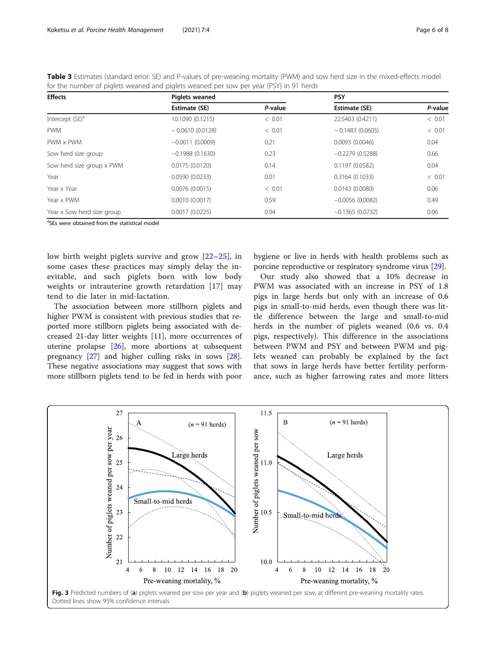| TOT the number of piglets wealted and piglets wealted per sow per year (F31) in 91 helds |                       |         |                   |         |  |  |  |
|------------------------------------------------------------------------------------------|-----------------------|---------|-------------------|---------|--|--|--|
| <b>Effects</b>                                                                           | <b>Piglets weaned</b> |         | <b>PSY</b>        |         |  |  |  |
|                                                                                          | Estimate (SE)         | P-value | Estimate (SE)     | P-value |  |  |  |
| Intercept (SE) <sup>a</sup>                                                              | 10.1090 (0.1215)      | < 0.01  | 22.5403 (0.4211)  | < 0.01  |  |  |  |
| <b>PWM</b>                                                                               | $-0.0610(0.0128)$     | < 0.01  | $-0.1483(0.0605)$ | < 0.01  |  |  |  |
| PWM x PWM                                                                                | $-0.0011(0.0009)$     | 0.21    | 0.0093(0.0046)    | 0.04    |  |  |  |
| Sow herd size group                                                                      | $-0.1988(0.1630)$     | 0.23    | $-0.2279(0.5288)$ | 0.66    |  |  |  |
| Sow herd size group x PWM                                                                | 0.0175(0.0120)        | 0.14    | 0.1197(0.0582)    | 0.04    |  |  |  |
| Year                                                                                     | 0.0590(0.0233)        | 0.01    | 0.3164(0.1033)    | < 0.01  |  |  |  |
| Year x Year                                                                              | 0.0076(0.0015)        | < 0.01  | 0.0143(0.0080)    | 0.06    |  |  |  |
| Year x PWM                                                                               | 0.0010(0.0017)        | 0.59    | $-0.0056(0.0082)$ | 0.49    |  |  |  |
| Year x Sow herd size group                                                               | 0.0017(0.0225)        | 0.94    | $-0.1365(0.0732)$ | 0.06    |  |  |  |

<span id="page-5-0"></span>Table 3 Estimates (standard error: SE) and P-values of pre-weaning mortality (PWM) and sow herd size in the mixed-effects model for the number of piglets weaned and piglets weaned per sow per year (PSY) in 91 herds

<sup>a</sup>SEs were obtained from the statistical model

low birth weight piglets survive and grow [\[22](#page-7-0)–[25\]](#page-7-0), in some cases these practices may simply delay the inevitable, and such piglets born with low body weights or intrauterine growth retardation [[17\]](#page-7-0) may tend to die later in mid-lactation.

The association between more stillborn piglets and higher PWM is consistent with previous studies that reported more stillborn piglets being associated with decreased 21-day litter weights [[11](#page-7-0)], more occurrences of uterine prolapse [\[26\]](#page-7-0), more abortions at subsequent pregnancy [\[27](#page-7-0)] and higher culling risks in sows [\[28](#page-7-0)]. These negative associations may suggest that sows with more stillborn piglets tend to be fed in herds with poor

hygiene or live in herds with health problems such as porcine reproductive or respiratory syndrome virus [[29\]](#page-7-0).

Our study also showed that a 10% decrease in PWM was associated with an increase in PSY of 1.8 pigs in large herds but only with an increase of 0.6 pigs in small-to-mid herds, even though there was little difference between the large and small-to-mid herds in the number of piglets weaned (0.6 vs. 0.4 pigs, respectively). This difference in the associations between PWM and PSY and between PWM and piglets weaned can probably be explained by the fact that sows in large herds have better fertility performance, such as higher farrowing rates and more litters

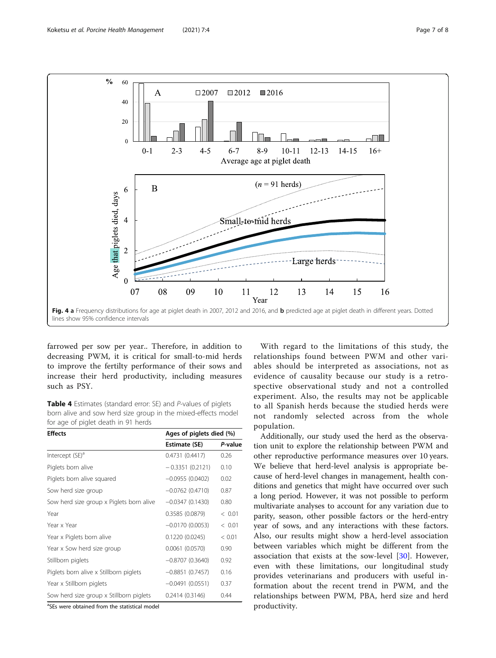<span id="page-6-0"></span>

farrowed per sow per year.. Therefore, in addition to decreasing PWM, it is critical for small-to-mid herds to improve the fertilty performance of their sows and increase their herd productivity, including measures such as PSY.

Table 4 Estimates (standard error: SE) and P-values of piglets born alive and sow herd size group in the mixed-effects model for age of piglet death in 91 herds

| <b>Effects</b>                           | Ages of piglets died (%) |         |  |
|------------------------------------------|--------------------------|---------|--|
|                                          | Estimate (SE)            | P-value |  |
| Intercept (SE) <sup>a</sup>              | 0.4731 (0.4417)          | 0.26    |  |
| Piglets born alive                       | $-0.3351(0.2121)$        | 0.10    |  |
| Piglets born alive squared               | $-0.0955(0.0402)$        | 0.02    |  |
| Sow herd size group                      | $-0.0762(0.4710)$        | 0.87    |  |
| Sow herd size group x Piglets born alive | $-0.0347(0.1430)$        | 0.80    |  |
| Year                                     | 0.3585 (0.0879)          | < 0.01  |  |
| Year x Year                              | $-0.0170(0.0053)$        | < 0.01  |  |
| Year x Piglets born alive                | 0.1220(0.0245)           | < 0.01  |  |
| Year x Sow herd size group               | 0.0061(0.0570)           | 0.90    |  |
| Stillborn piglets                        | $-0.8707(0.3640)$        | 0.92    |  |
| Piglets born alive x Stillborn piglets   | $-0.8851(0.7457)$        | 0.16    |  |
| Year x Stillborn piglets                 | $-0.0491(0.0551)$        | 0.37    |  |
| Sow herd size group x Stillborn piglets  | 0.2414(0.3146)           | 0.44    |  |

<sup>a</sup>SEs were obtained from the statistical model

With regard to the limitations of this study, the relationships found between PWM and other variables should be interpreted as associations, not as evidence of causality because our study is a retrospective observational study and not a controlled experiment. Also, the results may not be applicable to all Spanish herds because the studied herds were not randomly selected across from the whole population.

Additionally, our study used the herd as the observation unit to explore the relationship between PWM and other reproductive performance measures over 10 years. We believe that herd-level analysis is appropriate because of herd-level changes in management, health conditions and genetics that might have occurred over such a long period. However, it was not possible to perform multivariate analyses to account for any variation due to parity, season, other possible factors or the herd-entry year of sows, and any interactions with these factors. Also, our results might show a herd-level association between variables which might be different from the association that exists at the sow-level [\[30](#page-7-0)]. However, even with these limitations, our longitudinal study provides veterinarians and producers with useful information about the recent trend in PWM, and the relationships between PWM, PBA, herd size and herd productivity.